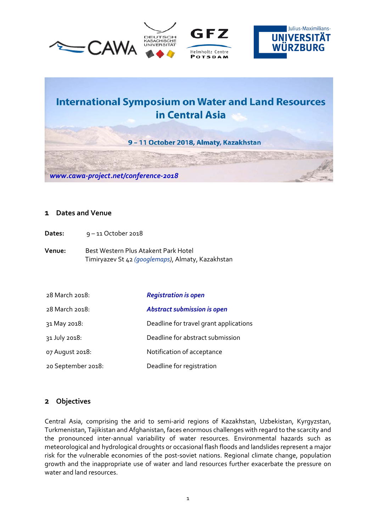





# **International Symposium on Water and Land Resources** in Central Asia

9 - 11 October 2018, Almaty, Kazakhstan

*[www.cawa-project.net/conference-2018](http://www.cawa-project.net/conference-2018)*

#### **1 Dates and Venue**

Dates: 9-11 October 2018

**Venue:** Best Western Plus Atakent Park Hotel Timiryazev St 42 *[\(googlemaps\)](https://www.google.de/maps/place/Best+Western+Plus+Atakent+Park+Hotel/@43.2248845,76.9024769,17z/data=!3m1!4b1!4m5!3m4!1s0x388368d4fc3cf3f1:0x79d530605db10a33!8m2!3d43.2248806!4d76.9046709)*, Almaty, Kazakhstan

| 28 March 2018:     | <b>Registration is open</b>            |
|--------------------|----------------------------------------|
| 28 March 2018:     | <b>Abstract submission is open</b>     |
| 31 May 2018:       | Deadline for travel grant applications |
| 31 July 2018:      | Deadline for abstract submission       |
| 07 August 2018:    | Notification of acceptance             |
| 20 September 2018: | Deadline for registration              |

#### **2 Objectives**

Central Asia, comprising the arid to semi-arid regions of Kazakhstan, Uzbekistan, Kyrgyzstan, Turkmenistan, Tajikistan and Afghanistan, faces enormous challenges with regard to the scarcity and the pronounced inter-annual variability of water resources. Environmental hazards such as meteorological and hydrological droughts or occasional flash floods and landslides represent a major risk for the vulnerable economies of the post-soviet nations. Regional climate change, population growth and the inappropriate use of water and land resources further exacerbate the pressure on water and land resources.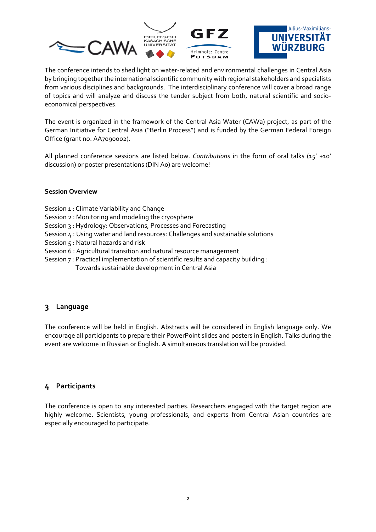

The conference intends to shed light on water-related and environmental challenges in Central Asia by bringing together the international scientific community with regional stakeholders and specialists from various disciplines and backgrounds. The interdisciplinary conference will cover a broad range of topics and will analyze and discuss the tender subject from both, natural scientific and socioeconomical perspectives.

The event is organized in the framework of the Central Asia Water (CAWa) project, as part of the German Initiative for Central Asia ("Berlin Process") and is funded by the German Federal Foreign Office (grant no. AA7090002).

All planned conference sessions are listed below. *[Contributions](https://events.gfz-potsdam.de/cawa-conf/abstract-upload/)* in the form of oral talks (15' +10' discussion) or poster presentations (DIN A0) are welcome!

#### **Session Overview**

- Session 1 : Climate Variability and Change
- Session 2 : Monitoring and modeling the cryosphere
- Session 3 : Hydrology: Observations, Processes and Forecasting
- Session 4 : Using water and land resources: Challenges and sustainable solutions
- Session 5 : Natural hazards and risk
- [Session 6 : Agricultural transition and natural resource management](https://www.cawa-project.net/conference-2018/session-6/)
- Session 7 : Practical implementation of scientific results and capacity building : Towards sustainable development in Central Asia

#### **3 Language**

The conference will be held in English. Abstracts will be considered in English language only. We encourage all participants to prepare their PowerPoint slides and posters in English. Talks during the event are welcome in Russian or English. A simultaneous translation will be provided.

#### **4 Participants**

The conference is open to any interested parties. Researchers engaged with the target region are highly welcome. Scientists, young professionals, and experts from Central Asian countries are especially encouraged to participate.